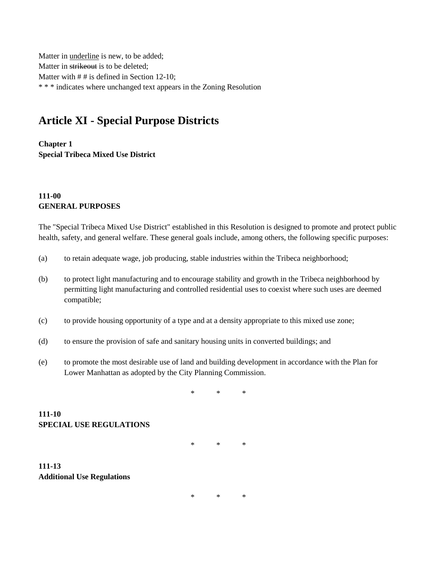Matter in underline is new, to be added; Matter in strikeout is to be deleted; Matter with  $# #$  is defined in Section 12-10; \* \* \* indicates where unchanged text appears in the Zoning Resolution

# **Article XI - Special Purpose Districts**

**Chapter 1 Special Tribeca Mixed Use District**

## **111-00 GENERAL PURPOSES**

The "Special Tribeca Mixed Use District" established in this Resolution is designed to promote and protect public health, safety, and general welfare. These general goals include, among others, the following specific purposes:

- (a) to retain adequate wage, job producing, stable industries within the Tribeca neighborhood;
- (b) to protect light manufacturing and to encourage stability and growth in the Tribeca neighborhood by permitting light manufacturing and controlled residential uses to coexist where such uses are deemed compatible;
- (c) to provide housing opportunity of a type and at a density appropriate to this mixed use zone;
- (d) to ensure the provision of safe and sanitary housing units in converted buildings; and
- (e) to promote the most desirable use of land and building development in accordance with the Plan for Lower Manhattan as adopted by the City Planning Commission.

\* \* \*

**111-10 SPECIAL USE REGULATIONS**

\* \* \*

**111-13 Additional Use Regulations**

\* \* \*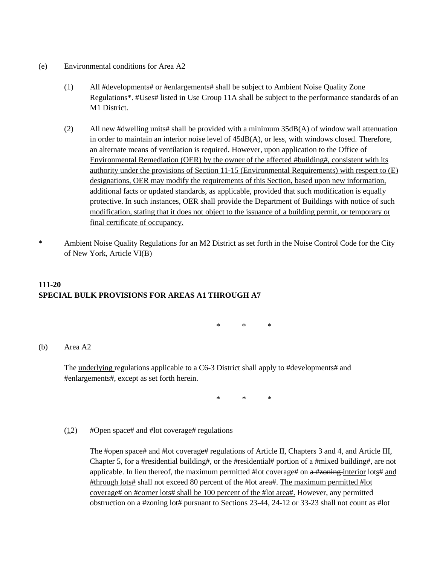- (e) Environmental conditions for Area A2
	- (1) All #developments# or #enlargements# shall be subject to Ambient Noise Quality Zone Regulations\*. #Uses# listed in Use Group 11A shall be subject to the performance standards of an M1 District.
	- (2) All new #dwelling units# shall be provided with a minimum 35dB(A) of window wall attenuation in order to maintain an interior noise level of 45dB(A), or less, with windows closed. Therefore, an alternate means of ventilation is required. However, upon application to the Office of Environmental Remediation (OER) by the owner of the affected #building#, consistent with its authority under the provisions of Section 11-15 (Environmental Requirements) with respect to (E) designations, OER may modify the requirements of this Section, based upon new information, additional facts or updated standards, as applicable, provided that such modification is equally protective. In such instances, OER shall provide the Department of Buildings with notice of such modification, stating that it does not object to the issuance of a building permit, or temporary or final certificate of occupancy.
- \* Ambient Noise Quality Regulations for an M2 District as set forth in the Noise Control Code for the City of New York, Article VI(B)

# **111-20 SPECIAL BULK PROVISIONS FOR AREAS A1 THROUGH A7**

\* \* \*

(b) Area A2

The <u>underlying</u> regulations applicable to a C6-3 District shall apply to #developments# and #enlargements#, except as set forth herein.

\* \* \*

## $(12)$  #Open space# and #lot coverage# regulations

The #open space# and #lot coverage# regulations of Article II, Chapters 3 and 4, and Article III, Chapter 5, for a #residential building#, or the #residential# portion of a #mixed building#, are not applicable. In lieu thereof, the maximum permitted #lot coverage# on  $a$  #zoning interior lots# and #through lots# shall not exceed 80 percent of the #lot area#. The maximum permitted #lot coverage# on #corner lots# shall be 100 percent of the #lot area#. However, any permitted obstruction on a #zoning lot# pursuant to Sections 23-44, 24-12 or 33-23 shall not count as #lot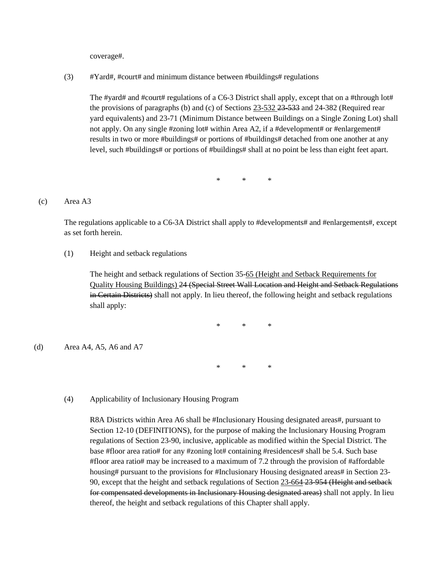coverage#.

 $(3)$  #Yard#, #court# and minimum distance between #buildings# regulations

The #yard# and #court# regulations of a C6-3 District shall apply, except that on a #through lot# the provisions of paragraphs (b) and (c) of Sections 23-532 23-533 and 24-382 (Required rear yard equivalents) and 23-71 (Minimum Distance between Buildings on a Single Zoning Lot) shall not apply. On any single #zoning lot# within Area A2, if a #development# or #enlargement# results in two or more #buildings# or portions of #buildings# detached from one another at any level, such #buildings# or portions of #buildings# shall at no point be less than eight feet apart.

\* \* \*

### (c) Area A3

The regulations applicable to a C6-3A District shall apply to #developments# and #enlargements#, except as set forth herein.

#### (1) Height and setback regulations

The height and setback regulations of Section 35-65 (Height and Setback Requirements for Quality Housing Buildings) 24 (Special Street Wall Location and Height and Setback Regulations in Certain Districts) shall not apply. In lieu thereof, the following height and setback regulations shall apply:

\* \* \*

(d) Area A4, A5, A6 and A7

\* \* \*

(4) Applicability of Inclusionary Housing Program

R8A Districts within Area A6 shall be #Inclusionary Housing designated areas#, pursuant to Section 12-10 (DEFINITIONS), for the purpose of making the Inclusionary Housing Program regulations of Section 23-90, inclusive, applicable as modified within the Special District. The base #floor area ratio# for any #zoning lot# containing #residences# shall be 5.4. Such base #floor area ratio# may be increased to a maximum of 7.2 through the provision of #affordable housing# pursuant to the provisions for #Inclusionary Housing designated areas# in Section 23-90, except that the height and setback regulations of Section 23-664-23-954 (Height and setback for compensated developments in Inclusionary Housing designated areas) shall not apply. In lieu thereof, the height and setback regulations of this Chapter shall apply.